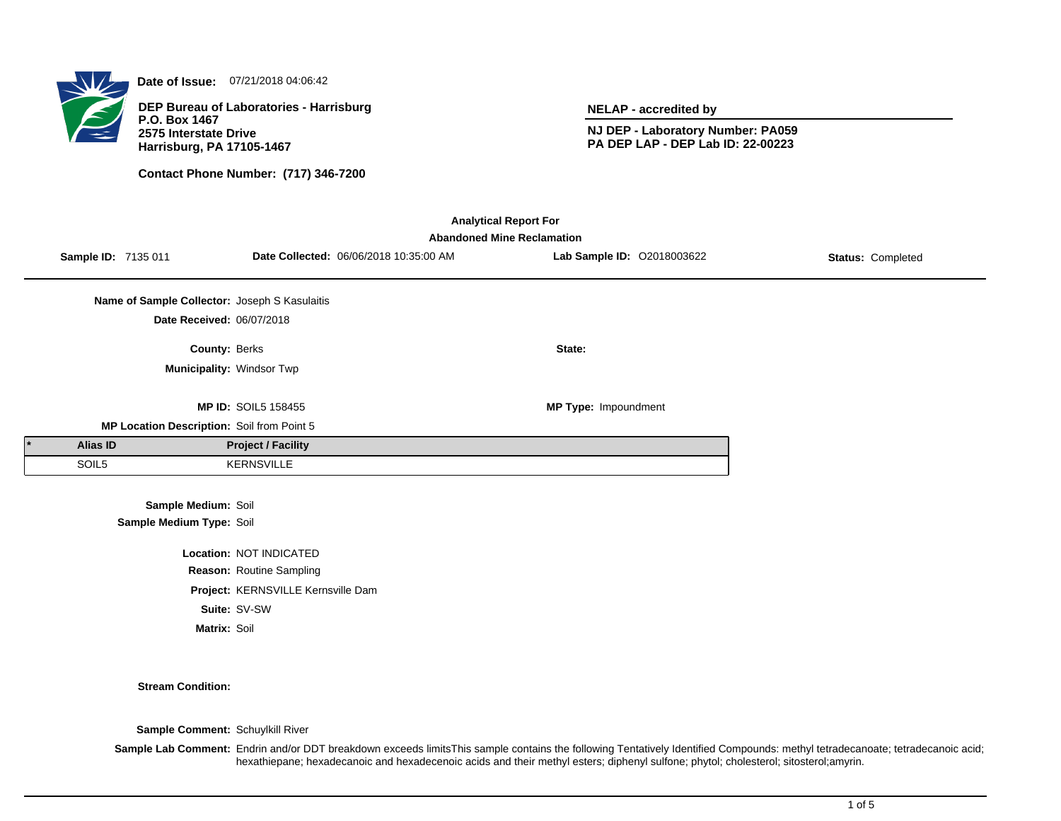

**Date of Issue:** 07/21/2018 04:06:42

**DEP Bureau of Laboratories - Harrisburg P.O. Box 1467 2575 Interstate Drive Harrisburg, PA 17105-1467**

**Contact Phone Number: (717) 346-7200**

**NELAP - accredited by**

**NJ DEP - Laboratory Number: PA059 PA DEP LAP - DEP Lab ID: 22-00223**

| <b>Analytical Report For</b><br><b>Abandoned Mine Reclamation</b> |                     |                                                 |                            |                                        |                            |                   |  |
|-------------------------------------------------------------------|---------------------|-------------------------------------------------|----------------------------|----------------------------------------|----------------------------|-------------------|--|
|                                                                   | Sample ID: 7135 011 |                                                 |                            | Date Collected: 06/06/2018 10:35:00 AM | Lab Sample ID: 02018003622 | Status: Completed |  |
|                                                                   |                     | Name of Sample Collector: Joseph S Kasulaitis   |                            |                                        |                            |                   |  |
|                                                                   |                     | Date Received: 06/07/2018                       |                            |                                        |                            |                   |  |
|                                                                   |                     | County: Berks                                   |                            |                                        | State:                     |                   |  |
|                                                                   |                     | Municipality: Windsor Twp                       |                            |                                        |                            |                   |  |
|                                                                   |                     |                                                 | <b>MP ID: SOIL5 158455</b> |                                        | MP Type: Impoundment       |                   |  |
|                                                                   |                     | MP Location Description: Soil from Point 5      |                            |                                        |                            |                   |  |
|                                                                   | Alias ID            |                                                 | <b>Project / Facility</b>  |                                        |                            |                   |  |
|                                                                   | SOIL5               |                                                 | <b>KERNSVILLE</b>          |                                        |                            |                   |  |
|                                                                   |                     | Sample Medium: Soil<br>Sample Medium Type: Soil |                            |                                        |                            |                   |  |
|                                                                   |                     |                                                 | Location: NOT INDICATED    |                                        |                            |                   |  |
| Reason: Routine Sampling                                          |                     |                                                 |                            |                                        |                            |                   |  |
| Project: KERNSVILLE Kernsville Dam                                |                     |                                                 |                            |                                        |                            |                   |  |

**Suite:** SV-SW

**Matrix:** Soil

**Stream Condition:**

**Sample Comment:** Schuylkill River

Sample Lab Comment: Endrin and/or DDT breakdown exceeds limitsThis sample contains the following Tentatively Identified Compounds: methyl tetradecanoate; tetradecanoic acid; hexathiepane; hexadecanoic and hexadecenoic acids and their methyl esters; diphenyl sulfone; phytol; cholesterol; sitosterol;amyrin.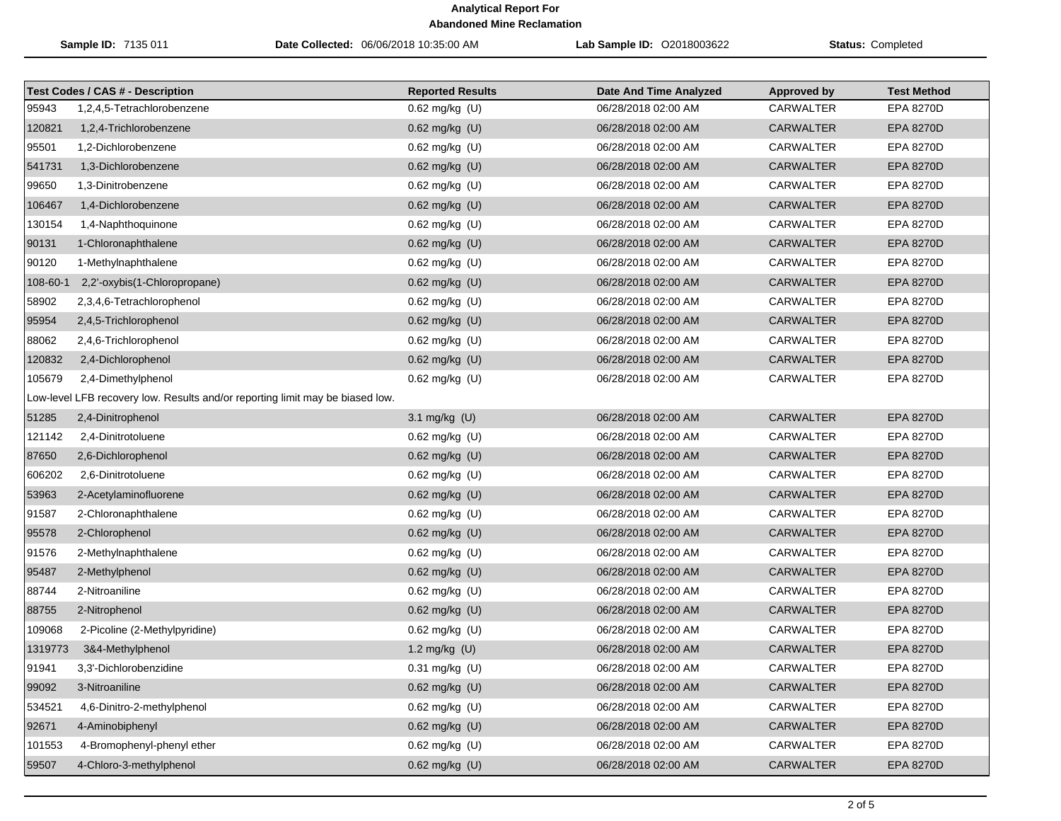|          | Sample ID: 7135 011                                                           | Date Collected: 06/06/2018 10:35:00 AM | Lab Sample ID: 02018003622 | <b>Status: Completed</b> |                    |
|----------|-------------------------------------------------------------------------------|----------------------------------------|----------------------------|--------------------------|--------------------|
|          | <b>Test Codes / CAS # - Description</b>                                       | <b>Reported Results</b>                | Date And Time Analyzed     | <b>Approved by</b>       | <b>Test Method</b> |
| 95943    | 1,2,4,5-Tetrachlorobenzene                                                    | 0.62 mg/kg (U)                         | 06/28/2018 02:00 AM        | <b>CARWALTER</b>         | EPA 8270D          |
| 120821   | 1,2,4-Trichlorobenzene                                                        | $0.62$ mg/kg $(U)$                     | 06/28/2018 02:00 AM        | <b>CARWALTER</b>         | <b>EPA 8270D</b>   |
| 95501    | 1,2-Dichlorobenzene                                                           | $0.62$ mg/kg $(U)$                     | 06/28/2018 02:00 AM        | CARWALTER                | EPA 8270D          |
| 541731   | 1,3-Dichlorobenzene                                                           | 0.62 mg/kg (U)                         | 06/28/2018 02:00 AM        | <b>CARWALTER</b>         | <b>EPA 8270D</b>   |
| 99650    | 1,3-Dinitrobenzene                                                            | 0.62 mg/kg (U)                         | 06/28/2018 02:00 AM        | <b>CARWALTER</b>         | EPA 8270D          |
| 106467   | 1,4-Dichlorobenzene                                                           | 0.62 mg/kg (U)                         | 06/28/2018 02:00 AM        | <b>CARWALTER</b>         | <b>EPA 8270D</b>   |
| 130154   | 1,4-Naphthoquinone                                                            | 0.62 mg/kg (U)                         | 06/28/2018 02:00 AM        | CARWALTER                | EPA 8270D          |
| 90131    | 1-Chloronaphthalene                                                           | $0.62$ mg/kg $(U)$                     | 06/28/2018 02:00 AM        | <b>CARWALTER</b>         | <b>EPA 8270D</b>   |
| 90120    | 1-Methylnaphthalene                                                           | $0.62$ mg/kg (U)                       | 06/28/2018 02:00 AM        | CARWALTER                | <b>EPA 8270D</b>   |
| 108-60-1 | 2,2'-oxybis(1-Chloropropane)                                                  | 0.62 mg/kg (U)                         | 06/28/2018 02:00 AM        | <b>CARWALTER</b>         | <b>EPA 8270D</b>   |
| 58902    | 2,3,4,6-Tetrachlorophenol                                                     | 0.62 mg/kg (U)                         | 06/28/2018 02:00 AM        | CARWALTER                | <b>EPA 8270D</b>   |
| 95954    | 2,4,5-Trichlorophenol                                                         | 0.62 mg/kg (U)                         | 06/28/2018 02:00 AM        | <b>CARWALTER</b>         | <b>EPA 8270D</b>   |
| 88062    | 2,4,6-Trichlorophenol                                                         | $0.62$ mg/kg $(U)$                     | 06/28/2018 02:00 AM        | CARWALTER                | <b>EPA 8270D</b>   |
| 120832   | 2,4-Dichlorophenol                                                            | 0.62 mg/kg (U)                         | 06/28/2018 02:00 AM        | <b>CARWALTER</b>         | <b>EPA 8270D</b>   |
| 105679   | 2,4-Dimethylphenol                                                            | 0.62 mg/kg (U)                         | 06/28/2018 02:00 AM        | <b>CARWALTER</b>         | EPA 8270D          |
|          | Low-level LFB recovery low. Results and/or reporting limit may be biased low. |                                        |                            |                          |                    |
| 51285    | 2,4-Dinitrophenol                                                             | 3.1 mg/kg (U)                          | 06/28/2018 02:00 AM        | <b>CARWALTER</b>         | <b>EPA 8270D</b>   |
| 121142   | 2,4-Dinitrotoluene                                                            | 0.62 mg/kg (U)                         | 06/28/2018 02:00 AM        | CARWALTER                | EPA 8270D          |
| 87650    | 2,6-Dichlorophenol                                                            | 0.62 mg/kg (U)                         | 06/28/2018 02:00 AM        | <b>CARWALTER</b>         | <b>EPA 8270D</b>   |
| 606202   | 2,6-Dinitrotoluene                                                            | 0.62 mg/kg (U)                         | 06/28/2018 02:00 AM        | <b>CARWALTER</b>         | EPA 8270D          |
| 53963    | 2-Acetylaminofluorene                                                         | 0.62 mg/kg (U)                         | 06/28/2018 02:00 AM        | <b>CARWALTER</b>         | <b>EPA 8270D</b>   |
| 91587    | 2-Chloronaphthalene                                                           | 0.62 mg/kg (U)                         | 06/28/2018 02:00 AM        | CARWALTER                | EPA 8270D          |
| 95578    | 2-Chlorophenol                                                                | $0.62$ mg/kg $(U)$                     | 06/28/2018 02:00 AM        | <b>CARWALTER</b>         | <b>EPA 8270D</b>   |
| 91576    | 2-Methylnaphthalene                                                           | 0.62 mg/kg (U)                         | 06/28/2018 02:00 AM        | <b>CARWALTER</b>         | EPA 8270D          |
| 95487    | 2-Methylphenol                                                                | 0.62 mg/kg (U)                         | 06/28/2018 02:00 AM        | <b>CARWALTER</b>         | <b>EPA 8270D</b>   |
| 88744    | 2-Nitroaniline                                                                | 0.62 mg/kg (U)                         | 06/28/2018 02:00 AM        | <b>CARWALTER</b>         | <b>EPA 8270D</b>   |
| 88755    | 2-Nitrophenol                                                                 | 0.62 mg/kg (U)                         | 06/28/2018 02:00 AM        | <b>CARWALTER</b>         | <b>EPA 8270D</b>   |
| 109068   | 2-Picoline (2-Methylpyridine)                                                 | 0.62 mg/kg (U)                         | 06/28/2018 02:00 AM        | <b>CARWALTER</b>         | EPA 8270D          |
| 1319773  | 3&4-Methylphenol                                                              | 1.2 mg/kg $(U)$                        | 06/28/2018 02:00 AM        | CARWALTER                | <b>EPA 8270D</b>   |
| 91941    | 3,3'-Dichlorobenzidine                                                        | 0.31 mg/kg (U)                         | 06/28/2018 02:00 AM        | CARWALTER                | EPA 8270D          |
| 99092    | 3-Nitroaniline                                                                | $0.62$ mg/kg (U)                       | 06/28/2018 02:00 AM        | <b>CARWALTER</b>         | <b>EPA 8270D</b>   |
| 534521   | 4,6-Dinitro-2-methylphenol                                                    | 0.62 mg/kg (U)                         | 06/28/2018 02:00 AM        | CARWALTER                | EPA 8270D          |
| 92671    | 4-Aminobiphenyl                                                               | 0.62 mg/kg (U)                         | 06/28/2018 02:00 AM        | CARWALTER                | <b>EPA 8270D</b>   |
| 101553   | 4-Bromophenyl-phenyl ether                                                    | 0.62 mg/kg (U)                         | 06/28/2018 02:00 AM        | CARWALTER                | <b>EPA 8270D</b>   |
| 59507    | 4-Chloro-3-methylphenol                                                       | 0.62 mg/kg (U)                         | 06/28/2018 02:00 AM        | <b>CARWALTER</b>         | <b>EPA 8270D</b>   |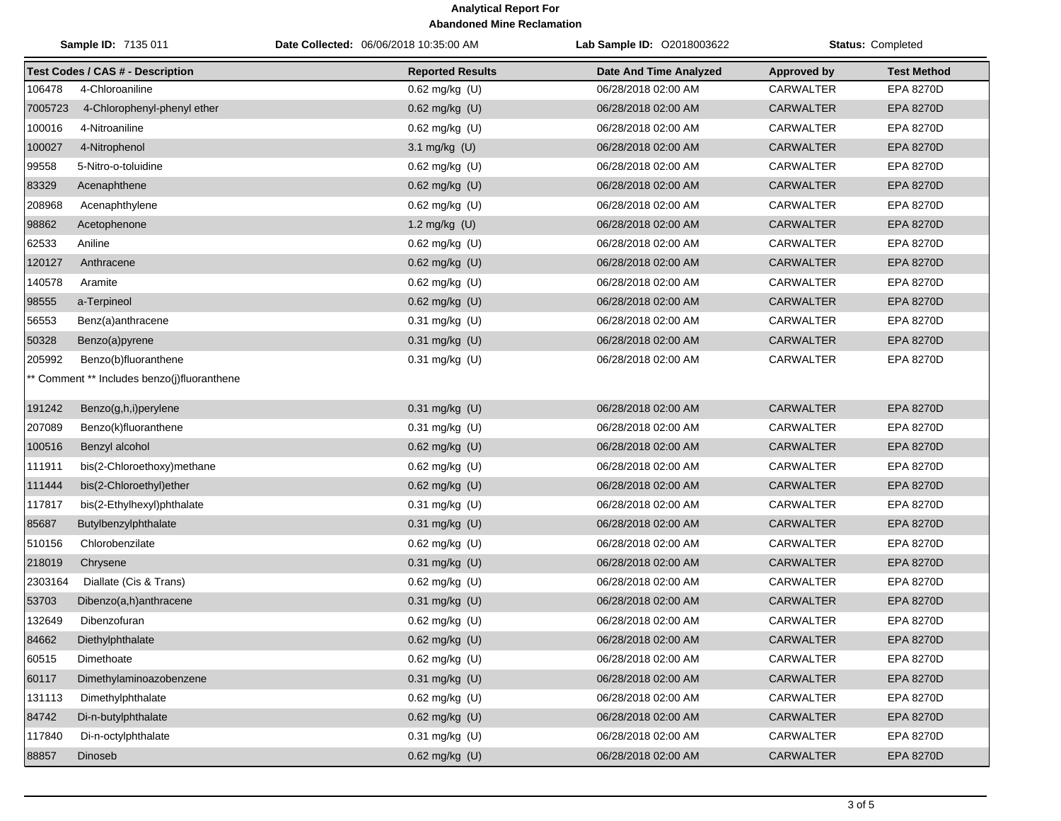| Sample ID: 7135 011 |                                             | Date Collected: 06/06/2018 10:35:00 AM | Lab Sample ID: 02018003622    | <b>Status: Completed</b> |                    |
|---------------------|---------------------------------------------|----------------------------------------|-------------------------------|--------------------------|--------------------|
|                     | <b>Test Codes / CAS # - Description</b>     | <b>Reported Results</b>                | <b>Date And Time Analyzed</b> | <b>Approved by</b>       | <b>Test Method</b> |
| 106478              | 4-Chloroaniline                             | $0.62$ mg/kg $(U)$                     | 06/28/2018 02:00 AM           | <b>CARWALTER</b>         | EPA 8270D          |
| 7005723             | 4-Chlorophenyl-phenyl ether                 | $0.62$ mg/kg (U)                       | 06/28/2018 02:00 AM           | <b>CARWALTER</b>         | <b>EPA 8270D</b>   |
| 100016              | 4-Nitroaniline                              | $0.62$ mg/kg $(U)$                     | 06/28/2018 02:00 AM           | CARWALTER                | EPA 8270D          |
| 100027              | 4-Nitrophenol                               | 3.1 mg/kg (U)                          | 06/28/2018 02:00 AM           | <b>CARWALTER</b>         | <b>EPA 8270D</b>   |
| 99558               | 5-Nitro-o-toluidine                         | $0.62$ mg/kg $(U)$                     | 06/28/2018 02:00 AM           | CARWALTER                | EPA 8270D          |
| 83329               | Acenaphthene                                | 0.62 mg/kg (U)                         | 06/28/2018 02:00 AM           | <b>CARWALTER</b>         | EPA 8270D          |
| 208968              | Acenaphthylene                              | $0.62$ mg/kg $(U)$                     | 06/28/2018 02:00 AM           | CARWALTER                | EPA 8270D          |
| 98862               | Acetophenone                                | 1.2 mg/kg (U)                          | 06/28/2018 02:00 AM           | <b>CARWALTER</b>         | EPA 8270D          |
| 62533               | Aniline                                     | 0.62 mg/kg (U)                         | 06/28/2018 02:00 AM           | CARWALTER                | EPA 8270D          |
| 120127              | Anthracene                                  | 0.62 mg/kg (U)                         | 06/28/2018 02:00 AM           | <b>CARWALTER</b>         | EPA 8270D          |
| 140578              | Aramite                                     | $0.62$ mg/kg $(U)$                     | 06/28/2018 02:00 AM           | <b>CARWALTER</b>         | <b>EPA 8270D</b>   |
| 98555               | a-Terpineol                                 | 0.62 mg/kg (U)                         | 06/28/2018 02:00 AM           | <b>CARWALTER</b>         | EPA 8270D          |
| 56553               | Benz(a)anthracene                           | 0.31 mg/kg (U)                         | 06/28/2018 02:00 AM           | CARWALTER                | EPA 8270D          |
| 50328               | Benzo(a)pyrene                              | 0.31 mg/kg (U)                         | 06/28/2018 02:00 AM           | <b>CARWALTER</b>         | EPA 8270D          |
| 205992              | Benzo(b)fluoranthene                        | $0.31$ mg/kg (U)                       | 06/28/2018 02:00 AM           | CARWALTER                | EPA 8270D          |
|                     | ** Comment ** Includes benzo(j)fluoranthene |                                        |                               |                          |                    |
| 191242              | Benzo(g,h,i)perylene                        | 0.31 mg/kg (U)                         | 06/28/2018 02:00 AM           | <b>CARWALTER</b>         | <b>EPA 8270D</b>   |
| 207089              | Benzo(k)fluoranthene                        | $0.31$ mg/kg $(U)$                     | 06/28/2018 02:00 AM           | CARWALTER                | <b>EPA 8270D</b>   |
| 100516              | Benzyl alcohol                              | 0.62 mg/kg (U)                         | 06/28/2018 02:00 AM           | <b>CARWALTER</b>         | EPA 8270D          |
| 111911              | bis(2-Chloroethoxy)methane                  | $0.62$ mg/kg $(U)$                     | 06/28/2018 02:00 AM           | CARWALTER                | EPA 8270D          |
| 111444              | bis(2-Chloroethyl)ether                     | 0.62 mg/kg (U)                         | 06/28/2018 02:00 AM           | <b>CARWALTER</b>         | EPA 8270D          |
| 117817              | bis(2-Ethylhexyl)phthalate                  | $0.31$ mg/kg $(U)$                     | 06/28/2018 02:00 AM           | CARWALTER                | EPA 8270D          |
| 85687               | Butylbenzylphthalate                        | 0.31 mg/kg (U)                         | 06/28/2018 02:00 AM           | <b>CARWALTER</b>         | <b>EPA 8270D</b>   |
| 510156              | Chlorobenzilate                             | $0.62$ mg/kg $(U)$                     | 06/28/2018 02:00 AM           | CARWALTER                | <b>EPA 8270D</b>   |
| 218019              | Chrysene                                    | 0.31 mg/kg (U)                         | 06/28/2018 02:00 AM           | <b>CARWALTER</b>         | EPA 8270D          |
| 2303164             | Diallate (Cis & Trans)                      | 0.62 mg/kg (U)                         | 06/28/2018 02:00 AM           | CARWALTER                | <b>EPA 8270D</b>   |
| 53703               | Dibenzo(a,h)anthracene                      | 0.31 mg/kg (U)                         | 06/28/2018 02:00 AM           | <b>CARWALTER</b>         | EPA 8270D          |
| 132649              | Dibenzofuran                                | $0.62$ mg/kg (U)                       | 06/28/2018 02:00 AM           | <b>CARWALTER</b>         | <b>EPA 8270D</b>   |
|                     | 84662 Diethylphthalate                      | 0.62 mg/kg (U)                         | 06/28/2018 02:00 AM           | CARWALTER                | EPA 8270D          |
| 60515               | Dimethoate                                  | $0.62$ mg/kg $(U)$                     | 06/28/2018 02:00 AM           | CARWALTER                | EPA 8270D          |
| 60117               | Dimethylaminoazobenzene                     | 0.31 mg/kg (U)                         | 06/28/2018 02:00 AM           | <b>CARWALTER</b>         | <b>EPA 8270D</b>   |
| 131113              | Dimethylphthalate                           | $0.62$ mg/kg $(U)$                     | 06/28/2018 02:00 AM           | CARWALTER                | EPA 8270D          |
| 84742               | Di-n-butylphthalate                         | 0.62 mg/kg (U)                         | 06/28/2018 02:00 AM           | <b>CARWALTER</b>         | EPA 8270D          |
| 117840              | Di-n-octylphthalate                         | $0.31$ mg/kg $(U)$                     | 06/28/2018 02:00 AM           | CARWALTER                | EPA 8270D          |
| 88857               | Dinoseb                                     | 0.62 mg/kg (U)                         | 06/28/2018 02:00 AM           | CARWALTER                | EPA 8270D          |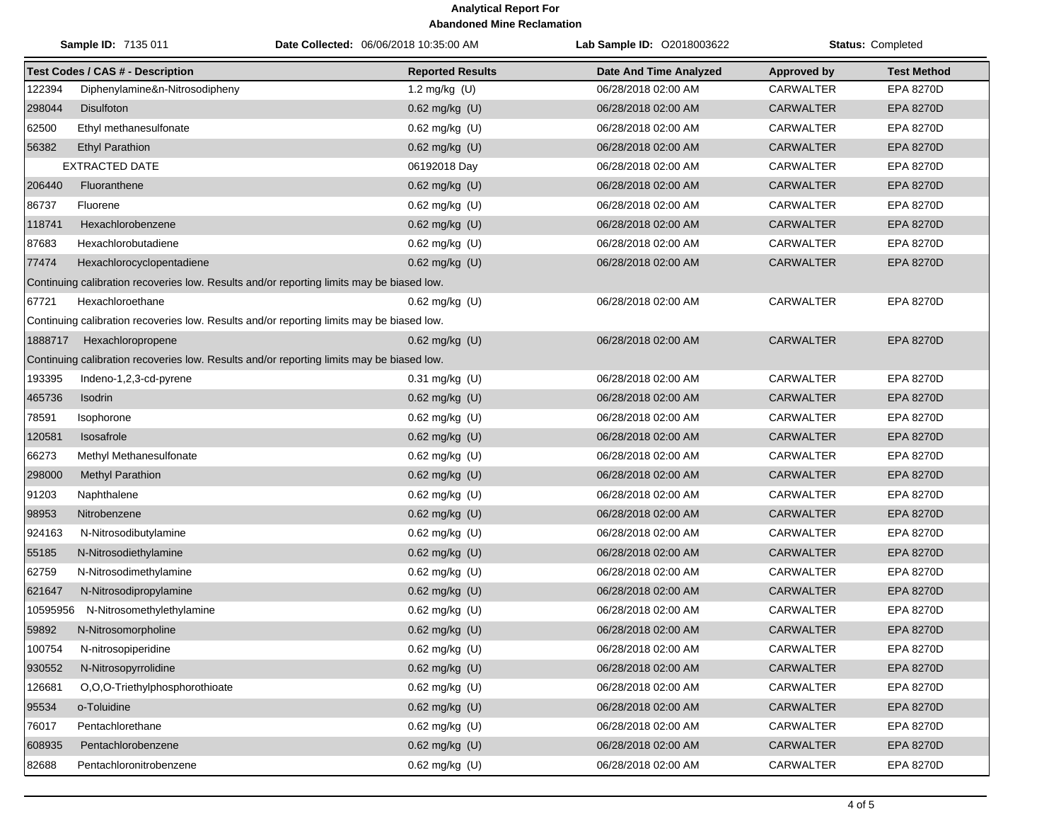| Sample ID: 7135 011 |                                                                                           | Date Collected: 06/06/2018 10:35:00 AM                                                    | Lab Sample ID: 02018003622 | Status: Completed  |                    |  |  |  |
|---------------------|-------------------------------------------------------------------------------------------|-------------------------------------------------------------------------------------------|----------------------------|--------------------|--------------------|--|--|--|
|                     | <b>Test Codes / CAS # - Description</b>                                                   | <b>Reported Results</b>                                                                   | Date And Time Analyzed     | <b>Approved by</b> | <b>Test Method</b> |  |  |  |
| 122394              | Diphenylamine&n-Nitrosodipheny                                                            | 1.2 mg/kg (U)                                                                             | 06/28/2018 02:00 AM        | CARWALTER          | EPA 8270D          |  |  |  |
| 298044              | <b>Disulfoton</b>                                                                         | 0.62 mg/kg (U)                                                                            | 06/28/2018 02:00 AM        | <b>CARWALTER</b>   | <b>EPA 8270D</b>   |  |  |  |
| 62500               | Ethyl methanesulfonate                                                                    | 0.62 mg/kg (U)                                                                            | 06/28/2018 02:00 AM        | <b>CARWALTER</b>   | EPA 8270D          |  |  |  |
| 56382               | <b>Ethyl Parathion</b>                                                                    | 0.62 mg/kg (U)                                                                            | 06/28/2018 02:00 AM        | <b>CARWALTER</b>   | <b>EPA 8270D</b>   |  |  |  |
|                     | EXTRACTED DATE                                                                            | 06192018 Day                                                                              | 06/28/2018 02:00 AM        | CARWALTER          | EPA 8270D          |  |  |  |
| 206440              | Fluoranthene                                                                              | 0.62 mg/kg (U)                                                                            | 06/28/2018 02:00 AM        | <b>CARWALTER</b>   | EPA 8270D          |  |  |  |
| 86737               | Fluorene                                                                                  | 0.62 mg/kg (U)                                                                            | 06/28/2018 02:00 AM        | CARWALTER          | EPA 8270D          |  |  |  |
| 118741              | Hexachlorobenzene                                                                         | 0.62 mg/kg (U)                                                                            | 06/28/2018 02:00 AM        | <b>CARWALTER</b>   | EPA 8270D          |  |  |  |
| 87683               | Hexachlorobutadiene                                                                       | 0.62 mg/kg (U)                                                                            | 06/28/2018 02:00 AM        | <b>CARWALTER</b>   | <b>EPA 8270D</b>   |  |  |  |
| 77474               | Hexachlorocyclopentadiene                                                                 | $0.62$ mg/kg $(U)$                                                                        | 06/28/2018 02:00 AM        | CARWALTER          | <b>EPA 8270D</b>   |  |  |  |
|                     | Continuing calibration recoveries low. Results and/or reporting limits may be biased low. |                                                                                           |                            |                    |                    |  |  |  |
| 67721               | Hexachloroethane                                                                          | $0.62$ mg/kg (U)                                                                          | 06/28/2018 02:00 AM        | CARWALTER          | <b>EPA 8270D</b>   |  |  |  |
|                     |                                                                                           | Continuing calibration recoveries low. Results and/or reporting limits may be biased low. |                            |                    |                    |  |  |  |
| 1888717             | Hexachloropropene                                                                         | 0.62 mg/kg (U)                                                                            | 06/28/2018 02:00 AM        | <b>CARWALTER</b>   | <b>EPA 8270D</b>   |  |  |  |
|                     |                                                                                           | Continuing calibration recoveries low. Results and/or reporting limits may be biased low. |                            |                    |                    |  |  |  |
| 193395              | Indeno-1,2,3-cd-pyrene                                                                    | $0.31$ mg/kg $(U)$                                                                        | 06/28/2018 02:00 AM        | <b>CARWALTER</b>   | <b>EPA 8270D</b>   |  |  |  |
| 465736              | Isodrin                                                                                   | $0.62$ mg/kg (U)                                                                          | 06/28/2018 02:00 AM        | <b>CARWALTER</b>   | <b>EPA 8270D</b>   |  |  |  |
| 78591               | Isophorone                                                                                | $0.62$ mg/kg (U)                                                                          | 06/28/2018 02:00 AM        | <b>CARWALTER</b>   | <b>EPA 8270D</b>   |  |  |  |
| 120581              | Isosafrole                                                                                | 0.62 mg/kg (U)                                                                            | 06/28/2018 02:00 AM        | <b>CARWALTER</b>   | <b>EPA 8270D</b>   |  |  |  |
| 66273               | Methyl Methanesulfonate                                                                   | 0.62 mg/kg (U)                                                                            | 06/28/2018 02:00 AM        | CARWALTER          | <b>EPA 8270D</b>   |  |  |  |
| 298000              | Methyl Parathion                                                                          | 0.62 mg/kg (U)                                                                            | 06/28/2018 02:00 AM        | <b>CARWALTER</b>   | EPA 8270D          |  |  |  |
| 91203               | Naphthalene                                                                               | 0.62 mg/kg (U)                                                                            | 06/28/2018 02:00 AM        | CARWALTER          | <b>EPA 8270D</b>   |  |  |  |
| 98953               | Nitrobenzene                                                                              | 0.62 mg/kg (U)                                                                            | 06/28/2018 02:00 AM        | <b>CARWALTER</b>   | EPA 8270D          |  |  |  |
| 924163              | N-Nitrosodibutylamine                                                                     | 0.62 mg/kg (U)                                                                            | 06/28/2018 02:00 AM        | <b>CARWALTER</b>   | <b>EPA 8270D</b>   |  |  |  |
| 55185               | N-Nitrosodiethylamine                                                                     | 0.62 mg/kg (U)                                                                            | 06/28/2018 02:00 AM        | CARWALTER          | EPA 8270D          |  |  |  |
| 62759               | N-Nitrosodimethylamine                                                                    | $0.62$ mg/kg (U)                                                                          | 06/28/2018 02:00 AM        | <b>CARWALTER</b>   | EPA 8270D          |  |  |  |
| 621647              | N-Nitrosodipropylamine                                                                    | 0.62 mg/kg (U)                                                                            | 06/28/2018 02:00 AM        | <b>CARWALTER</b>   | <b>EPA 8270D</b>   |  |  |  |
| 10595956            | N-Nitrosomethylethylamine                                                                 | 0.62 mg/kg (U)                                                                            | 06/28/2018 02:00 AM        | <b>CARWALTER</b>   | EPA 8270D          |  |  |  |
| 59892               | N-Nitrosomorpholine                                                                       | 0.62 mg/kg (U)                                                                            | 06/28/2018 02:00 AM        | <b>CARWALTER</b>   | <b>EPA 8270D</b>   |  |  |  |
| 100754              | N-nitrosopiperidine                                                                       | 0.62 mg/kg (U)                                                                            | 06/28/2018 02:00 AM        | <b>CARWALTER</b>   | EPA 8270D          |  |  |  |
| 930552              | N-Nitrosopyrrolidine                                                                      | 0.62 mg/kg (U)                                                                            | 06/28/2018 02:00 AM        | CARWALTER          | EPA 8270D          |  |  |  |
| 126681              | O.O.O-Triethylphosphorothioate                                                            | 0.62 mg/kg (U)                                                                            | 06/28/2018 02:00 AM        | <b>CARWALTER</b>   | EPA 8270D          |  |  |  |
| 95534               | o-Toluidine                                                                               | $0.62$ mg/kg $(U)$                                                                        | 06/28/2018 02:00 AM        | CARWALTER          | EPA 8270D          |  |  |  |
| 76017               | Pentachlorethane                                                                          | $0.62$ mg/kg (U)                                                                          | 06/28/2018 02:00 AM        | <b>CARWALTER</b>   | <b>EPA 8270D</b>   |  |  |  |
| 608935              | Pentachlorobenzene                                                                        | $0.62$ mg/kg $(U)$                                                                        | 06/28/2018 02:00 AM        | <b>CARWALTER</b>   | EPA 8270D          |  |  |  |
| 82688               | Pentachloronitrobenzene                                                                   | $0.62$ mg/kg $(U)$                                                                        | 06/28/2018 02:00 AM        | CARWALTER          | EPA 8270D          |  |  |  |